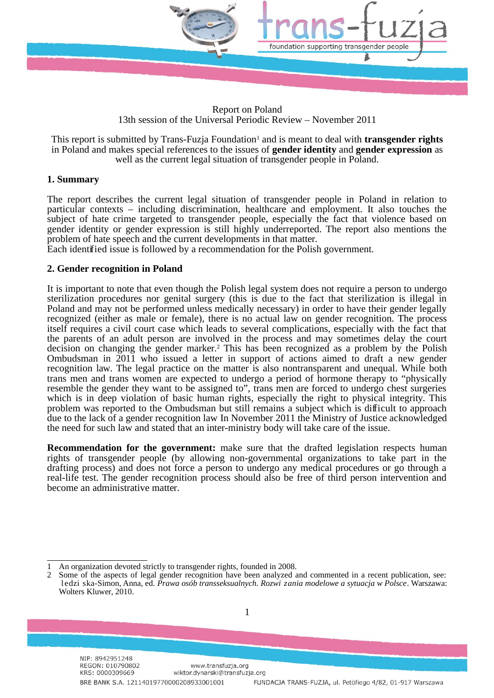

Report on Poland 13th session of the Universal Periodic Review – November 2011

This report is submitted by Trans-Fuzja Foundation<sup>[1](#page-0-0)</sup> and is meant to deal with **transgender rights** in Poland and makes special references to the issues of **gender identity** and **gender expression** as well as the current legal situation of transgender people in Poland.

## **1. Summary**

The report describes the current legal situation of transgender people in Poland in relation to particular contexts – including discrimination, healthcare and employment. It also touches the subject of hate crime targeted to transgender people, especially the fact that violence based on gender identity or gender expression is still highly underreported. The report also mentions the problem of hate speech and the current developments in that matter.

Each identified issue is followed by a recommendation for the Polish government.

## **2. Gender recognition in Poland**

It is important to note that even though the Polish legal system does not require a person to undergo sterilization procedures nor genital surgery (this is due to the fact that sterilization is illegal in Poland and may not be performed unless medically necessary) in order to have their gender legally recognized (either as male or female), there is no actual law on gender recognition. The process itself requires a civil court case which leads to several complications, especially with the fact that the parents of an adult person are involved in the process and may sometimes delay the court decision on changing the gender marker.[2](#page-0-1) This has been recognized as a problem by the Polish Ombudsman in 2011 who issued a letter in support of actions aimed to draft a new gender recognition law. The legal practice on the matter is also nontransparent and unequal. While both trans men and trans women are expected to undergo a period of hormone therapy to "physically resemble the gender they want to be assigned to", trans men are forced to undergo chest surgeries which is in deep violation of basic human rights, especially the right to physical integrity. This problem was reported to the Ombudsman but still remains a subject which is difficult to approach due to the lack of a gender recognition law In November 2011 the Ministry of Justice acknowledged the need for such law and stated that an inter-ministry body will take care of the issue.

**Recommendation for the government:** make sure that the drafted legislation respects human rights of transgender people (by allowing non-governmental organizations to take part in the drafting process) and does not force a person to undergo any medical procedures or go through a real-life test. The gender recognition process should also be free of third person intervention and become an administrative matter.

1

<span id="page-0-0"></span><sup>1</sup> An organization devoted strictly to transgender rights, founded in 2008.

<span id="page-0-1"></span><sup>2</sup> Some of the aspects of legal gender recognition have been analyzed and commented in a recent publication, see: l edzi ska-Simon, Anna, ed*Prawa osób transseksualnych. Rozwi zania modelowe a sytuacja w Polsce*. Warszawa: Wolters Kluwer, 2010.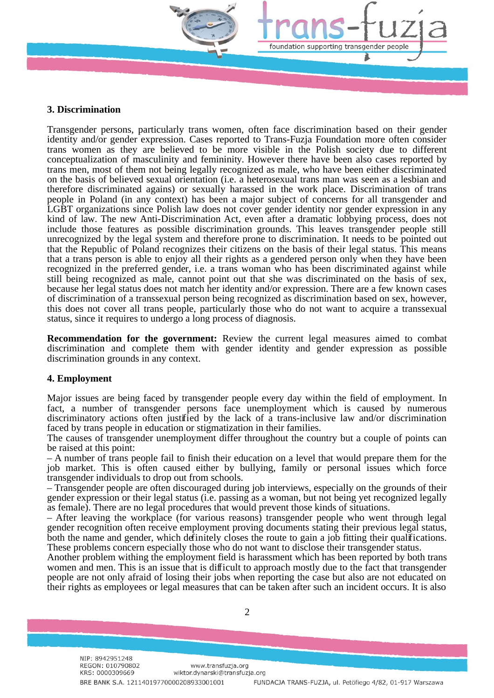

#### **3. Discrimination**

Transgender persons, particularly trans women, often face discrimination based on their gender identity and/or gender expression. Cases reported to Trans-Fuzja Foundation more often consider trans women as they are believed to be more visible in the Polish society due to different conceptualization of masculinity and femininity. However there have been also cases reported by trans men, most of them not being legally recognized as male, who have been either discriminated on the basis of believed sexual orientation (i.e. a heterosexual trans man was seen as a lesbian and therefore discriminated agains) or sexually harassed in the work place. Discrimination of trans people in Poland (in any context) has been a major subject of concerns for all transgender and LGBT organizations since Polish law does not cover gender identity nor gender expression in any kind of law. The new Anti-Discrimination Act, even after a dramatic lobbying process, does not include those features as possible discrimination grounds. This leaves transgender people still unrecognized by the legal system and therefore prone to discrimination. It needs to be pointed out that the Republic of Poland recognizes their citizens on the basis of their legal status. This means that a trans person is able to enjoy all their rights as a gendered person only when they have been recognized in the preferred gender, i.e. a trans woman who has been discriminated against while still being recognized as male, cannot point out that she was discriminated on the basis of sex, because her legal status does not match her identity and/or expression. There are a few known cases of discrimination of a transsexual person being recognized as discrimination based on sex, however, this does not cover all trans people, particularly those who do not want to acquire a transsexual status, since it requires to undergo a long process of diagnosis.

**Recommendation for the government:** Review the current legal measures aimed to combat discrimination and complete them with gender identity and gender expression as possible discrimination grounds in any context.

# **4. Employment**

Major issues are being faced by transgender people every day within the field of employment. In fact, a number of transgender persons face unemployment which is caused by numerous discriminatory actions often justified by the lack of a trans-inclusive law and/or discrimination faced by trans people in education or stigmatization in their families.

The causes of transgender unemployment differ throughout the country but a couple of points can be raised at this point:

– A number of trans people fail to finish their education on a level that would prepare them for the job market. This is often caused either by bullying, family or personal issues which force transgender individuals to drop out from schools.

– Transgender people are often discouraged during job interviews, especially on the grounds of their gender expression or their legal status (i.e. passing as a woman, but not being yet recognized legally as female). There are no legal procedures that would prevent those kinds of situations.

– After leaving the workplace (for various reasons) transgender people who went through legal gender recognition often receive employment proving documents stating their previous legal status, both the name and gender, which definitely closes the route to gain a job fitting their qualifications. These problems concern especially those who do not want to disclose their transgender status.

Another problem withing the employment field is harassment which has been reported by both trans women and men. This is an issue that is difficult to approach mostly due to the fact that transgender people are not only afraid of losing their jobs when reporting the case but also are not educated on their rights as employees or legal measures that can be taken after such an incident occurs. It is also

2